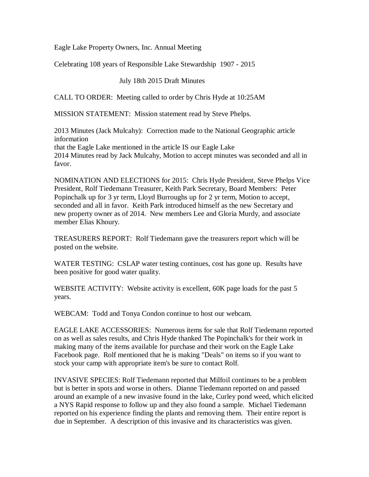Eagle Lake Property Owners, Inc. Annual Meeting

Celebrating 108 years of Responsible Lake Stewardship 1907 - 2015

July 18th 2015 Draft Minutes

CALL TO ORDER: Meeting called to order by Chris Hyde at 10:25AM

MISSION STATEMENT: Mission statement read by Steve Phelps.

2013 Minutes (Jack Mulcahy): Correction made to the National Geographic article information that the Eagle Lake mentioned in the article IS our Eagle Lake 2014 Minutes read by Jack Mulcahy, Motion to accept minutes was seconded and all in favor.

NOMINATION AND ELECTIONS for 2015: Chris Hyde President, Steve Phelps Vice President, Rolf Tiedemann Treasurer, Keith Park Secretary, Board Members: Peter Popinchalk up for 3 yr term, Lloyd Burroughs up for 2 yr term, Motion to accept, seconded and all in favor. Keith Park introduced himself as the new Secretary and new property owner as of 2014. New members Lee and Gloria Murdy, and associate member Elias Khoury.

TREASURERS REPORT: Rolf Tiedemann gave the treasurers report which will be posted on the website.

WATER TESTING: CSLAP water testing continues, cost has gone up. Results have been positive for good water quality.

WEBSITE ACTIVITY: Website activity is excellent, 60K page loads for the past 5 years.

WEBCAM: Todd and Tonya Condon continue to host our webcam.

EAGLE LAKE ACCESSORIES: Numerous items for sale that Rolf Tiedemann reported on as well as sales results, and Chris Hyde thanked The Popinchalk's for their work in making many of the items available for purchase and their work on the Eagle Lake Facebook page. Rolf mentioned that he is making "Deals" on items so if you want to stock your camp with appropriate item's be sure to contact Rolf.

INVASIVE SPECIES: Rolf Tiedemann reported that Milfoil continues to be a problem but is better in spots and worse in others. Dianne Tiedemann reported on and passed around an example of a new invasive found in the lake, Curley pond weed, which elicited a NYS Rapid response to follow up and they also found a sample. Michael Tiedemann reported on his experience finding the plants and removing them. Their entire report is due in September. A description of this invasive and its characteristics was given.